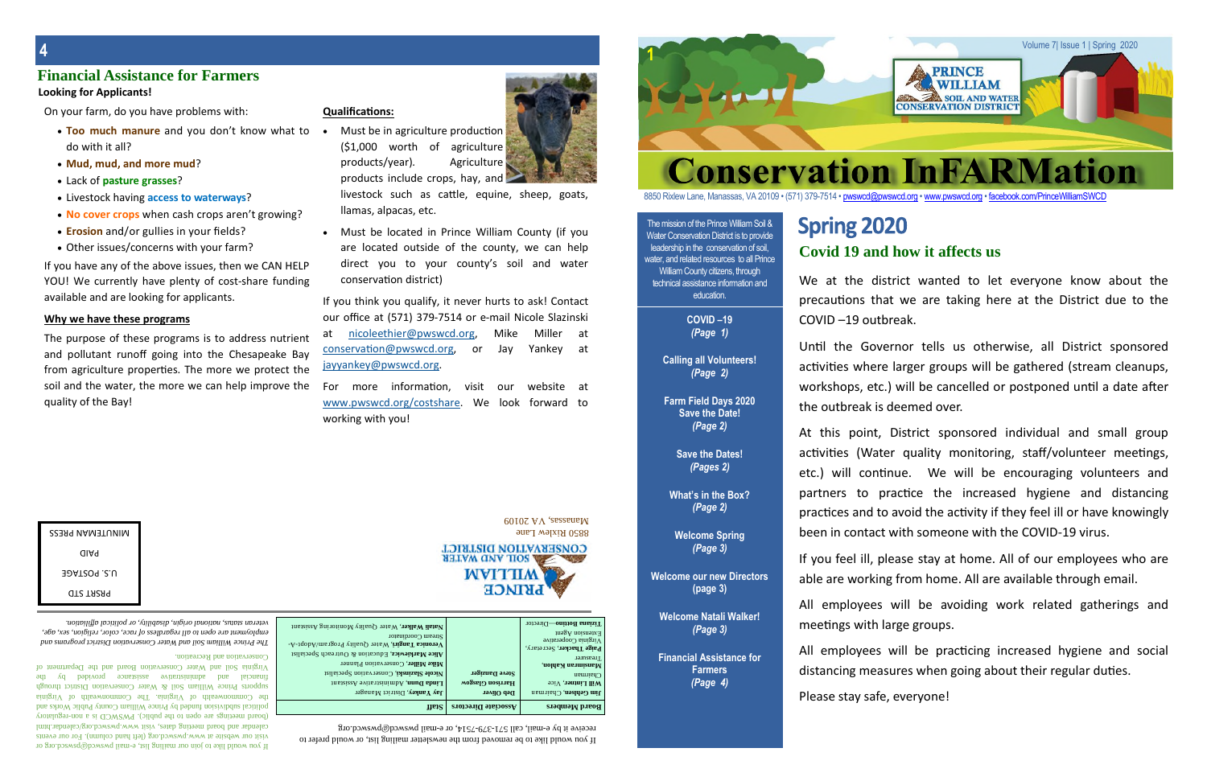#### The mission of the Prince William Soil & Water Conservation District is to provide leadership in the conservation of soil, water, and related resources to all Prince William County citizens, through technical assistance information and education.

**COVID –19** *(Page 1)*

**Calling all Volunteers!** *(Page 2)*

**Farm Field Days 2020 Save the Date!** *(Page 2)*

**Save the Dates!** *(Pages 2)*

If you would like to be removed from the newsletter mailing list, or would prefer to  $m_{\text{row}}$  parameter  $\alpha$  and  $\alpha$  and  $\alpha$   $\beta$  -  $\beta$   $\beta$   $\gamma$  -  $\beta$  and  $\beta$  is and  $\alpha$  is a received in  $\beta$ 



8850 Rixlew Lane, Manassas, VA 20109 • (571) 379-7514 • pwswcd@pwswcd.org • www.pwswcd.org • facebook.com/PrinceWilliamSWCD

**What's in the Box?** *(Page 2)*

**Welcome Spring** *(Page 3)*

**Welcome our new Directors (page 3)**

> **Welcome Natali Walker!** *(Page 3)*

**Financial Assistance for Farmers** *(Page 4)*

 $\lim_{\alpha \to \infty}$ 

**1**



# **Spring 2020**

**4**

# **Covid 19 and how it affects us**

## **Financial Assistance for Farmers**

*The Prince William Soil and Water Conservation District programs and* employment are open to all regardless of race, color, religion, sex, age, *veteran status, national origin, disability, or political affiliation.*

- Too much manure and you don't know what to do with it all?
- **Mud, mud, and more mud**?
- Lack of **pasture grasses**?
- Livestock having **access to waterways**?
- **No cover crops** when cash crops aren't growing?
- **Erosion** and/or gullies in your fields?
- Other issues/concerns with your farm?

Must be in agriculture production  $(51,000$  worth of agriculture products/year)*.* Agriculture products include crops, hay, and

livestock such as cattle, equine, sheep, goats, llamas, alpacas, etc.

 Must be located in Prince William County (if you are located outside of the county, we can help direct you to your county's soil and water conservation district)

#### visit our website at www.pwswcd.org (left hand column). For our events calendar and board meeting dates, visit www.pwswcd.org/calendar.html (board meetings are open to the public). PWSWCD is a non-regulatory political subdivision funded by Prince William County Public Works and the Commonwealth of Virginia. The Commonwealth of Virginia supports Prince William Soil & Water Conservation Dirict through financial and administrative assistance provided by the Virginia Soil and Water Conservation Board and the Department of

mail pwswcd.org or or the pail pwswcd@pswsco.org or  $\frac{1}{2}$  or  $\frac{1}{2}$  or  $\frac{1}{2}$  or  $\frac{1}{2}$  or  $\frac{1}{2}$  or  $\frac{1}{2}$  or  $\frac{1}{2}$  or  $\frac{1}{2}$  or  $\frac{1}{2}$  or  $\frac{1}{2}$  or  $\frac{1}{2}$  or  $\frac{1}{2}$  or  $\frac{1}{2}$  or

the For more information, visit our website at www.pwswcd.org/costshare. We look forward to working with you!

> 8850 Rixlew Lane  $60102$  VA  $\gamma$  sessemely



| g into the Chesapeake   |
|-------------------------|
| s. The more we protect  |
| ore we can help improve |
|                         |
|                         |
|                         |
|                         |
|                         |

Conservation and Recreation.

| <b>UNINUTEMAN PRESS</b> |
|-------------------------|
| aiaq                    |
| JOATZO9 .2.U            |
| <b>QTZ TAZA9</b>        |
|                         |

Until the Governor tells us otherwise, all District sponsored activities where larger groups will be gathered (stream cleanups, workshops, etc.) will be cancelled or postponed until a date after the outbreak is deemed over.

#### **Looking for Applicants!**

On your farm, do you have problems with:

All employees will be avoiding work related gatherings and meetings with large groups.

All employees will be practicing increased hygiene and social distancing measures when going about their regular duties.

If you have any of the above issues, then we CAN HELP YOU! We currently have plenty of cost-share funding available and are looking for applicants.

#### **Why we have these programs**

The purpose of these programs is to address nutrient and pollutant runoff going into the Chesapeake Bay from agriculture properties. The more we protect the soil and the water, the mo quality of the Bay!

#### **Qualifications:**

If you think you qualify, it never hurts to ask! Contact our office at (571) 379-7514 or e-mail Nicole Slazinski at nicoleethier@pwswcd.org, Mike Miller at conservation@pwswcd.org, or Jay Yankey at jayyankey@pwswcd.org.

We at the district wanted to let everyone know about the precautions that we are taking here at the District due to the COVID –19 outbreak.

At this point, District sponsored individual and small group activities (Water quality monitoring, staff/volunteer meetings, etc.) will continue. We will be encouraging volunteers and partners to practice the increased hygiene and distancing practices and to avoid the activity if they feel ill or have knowingly been in contact with someone with the COVID-19 virus.

If you feel ill, please stay at home. All of our employees who are able are working from home. All are available through email.

Please stay safe, everyone!

| Matali Walker, Water Quality Monitoring Assistant<br>Stream Coordinator<br>Veronica Tangiri, Water Quality Program/Adopt-A-<br>Alice Markiewicz, Education & Outreach Specialist<br>Mike Miller, Conservation Planner<br>Nicole Slazinski, Conservation Specialist<br>Linda Dunn, Administrative Assistant<br><b>Jay Yankey, District Manager</b> | Steve Danziger<br>Harrison Glasgow<br>Deb Oliver | Tizana Bottino-Director<br>Extension $\mathrm{Agen}$<br>$y$ irginia Cooperative<br>Paige Thacker, Secretary,<br>Treasurer<br>Mansimran Kahlon,<br><b>Chairman</b><br>Will Lintner, Vice<br>Jim Gehlsen, Chairman |
|---------------------------------------------------------------------------------------------------------------------------------------------------------------------------------------------------------------------------------------------------------------------------------------------------------------------------------------------------|--------------------------------------------------|------------------------------------------------------------------------------------------------------------------------------------------------------------------------------------------------------------------|
| <b>HEIZ</b>                                                                                                                                                                                                                                                                                                                                       | Associate Directors                              | <b>Board Members</b>                                                                                                                                                                                             |